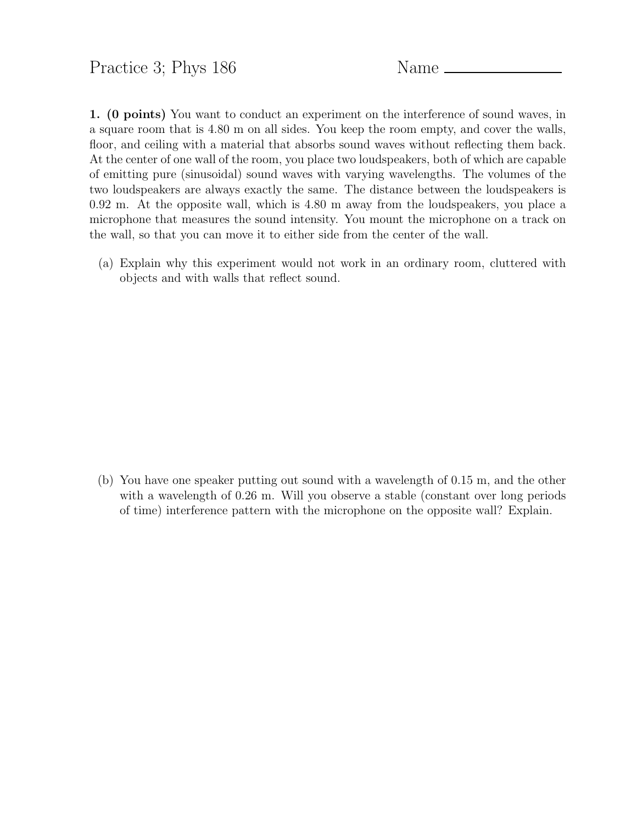1. (0 points) You want to conduct an experiment on the interference of sound waves, in a square room that is 4.80 m on all sides. You keep the room empty, and cover the walls, floor, and ceiling with a material that absorbs sound waves without reflecting them back. At the center of one wall of the room, you place two loudspeakers, both of which are capable of emitting pure (sinusoidal) sound waves with varying wavelengths. The volumes of the two loudspeakers are always exactly the same. The distance between the loudspeakers is 0.92 m. At the opposite wall, which is 4.80 m away from the loudspeakers, you place a microphone that measures the sound intensity. You mount the microphone on a track on the wall, so that you can move it to either side from the center of the wall.

(a) Explain why this experiment would not work in an ordinary room, cluttered with objects and with walls that reflect sound.

(b) You have one speaker putting out sound with a wavelength of 0.15 m, and the other with a wavelength of 0.26 m. Will you observe a stable (constant over long periods of time) interference pattern with the microphone on the opposite wall? Explain.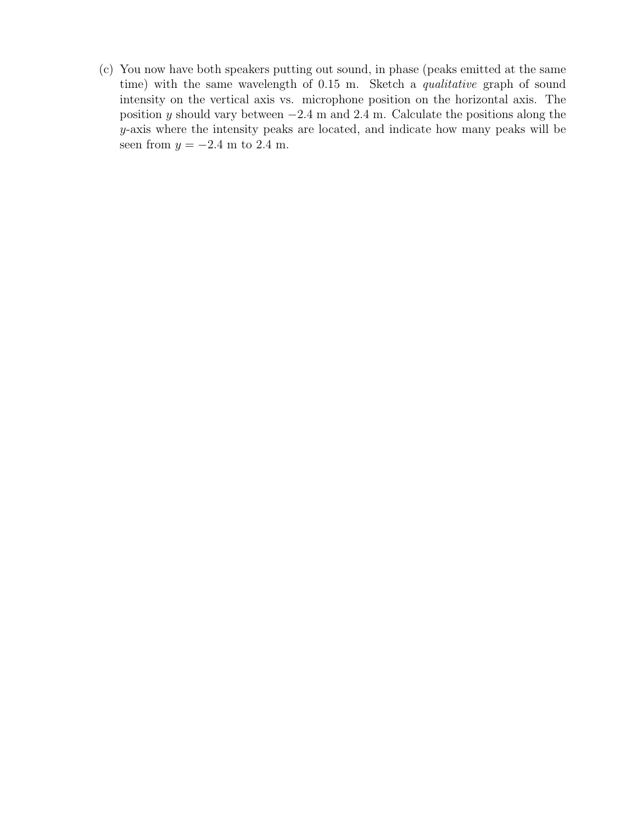(c) You now have both speakers putting out sound, in phase (peaks emitted at the same time) with the same wavelength of 0.15 m. Sketch a *qualitative* graph of sound intensity on the vertical axis vs. microphone position on the horizontal axis. The position y should vary between −2.4 m and 2.4 m. Calculate the positions along the y-axis where the intensity peaks are located, and indicate how many peaks will be seen from  $y = -2.4$  m to 2.4 m.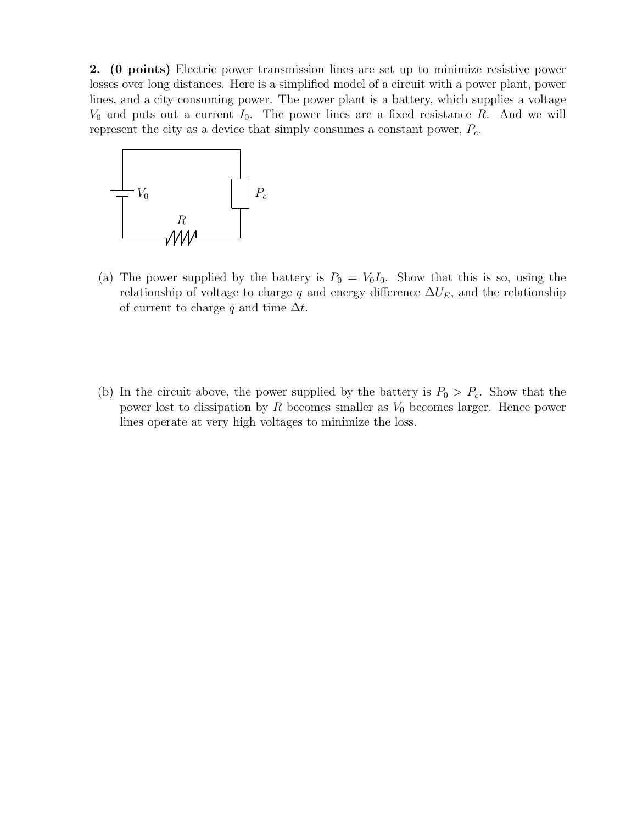2. (0 points) Electric power transmission lines are set up to minimize resistive power losses over long distances. Here is a simplified model of a circuit with a power plant, power lines, and a city consuming power. The power plant is a battery, which supplies a voltage  $V_0$  and puts out a current  $I_0$ . The power lines are a fixed resistance R. And we will represent the city as a device that simply consumes a constant power,  $P_c$ .



- (a) The power supplied by the battery is  $P_0 = V_0 I_0$ . Show that this is so, using the relationship of voltage to charge q and energy difference  $\Delta U_E$ , and the relationship of current to charge q and time  $\Delta t$ .
- (b) In the circuit above, the power supplied by the battery is  $P_0 > P_c$ . Show that the power lost to dissipation by R becomes smaller as  $V_0$  becomes larger. Hence power lines operate at very high voltages to minimize the loss.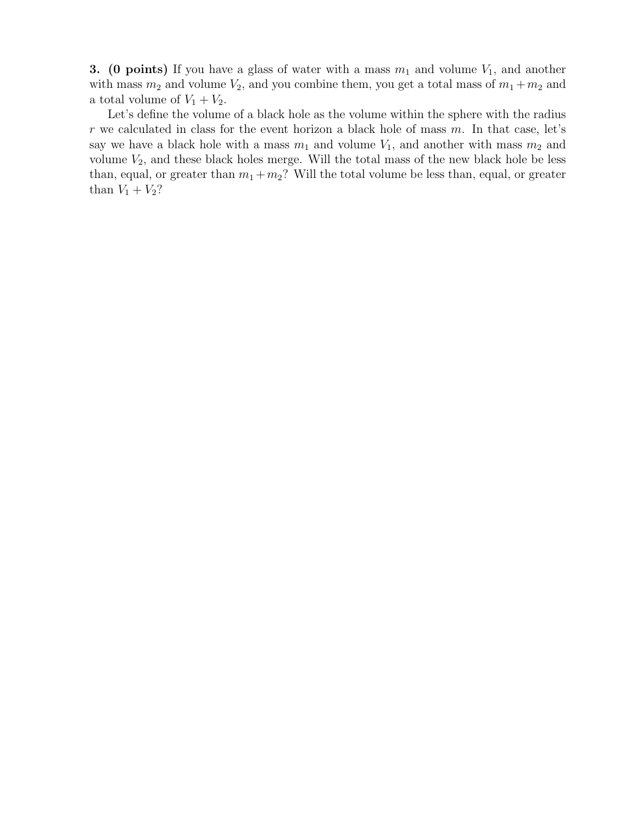**3.** (0 points) If you have a glass of water with a mass  $m_1$  and volume  $V_1$ , and another with mass  $m_2$  and volume  $V_2$ , and you combine them, you get a total mass of  $m_1 + m_2$  and a total volume of  $V_1 + V_2$ .

Let's define the volume of a black hole as the volume within the sphere with the radius r we calculated in class for the event horizon a black hole of mass m. In that case, let's say we have a black hole with a mass  $m_1$  and volume  $V_1$ , and another with mass  $m_2$  and volume  $V_2$ , and these black holes merge. Will the total mass of the new black hole be less than, equal, or greater than  $m_1 + m_2$ ? Will the total volume be less than, equal, or greater than  $V_1 + V_2$ ?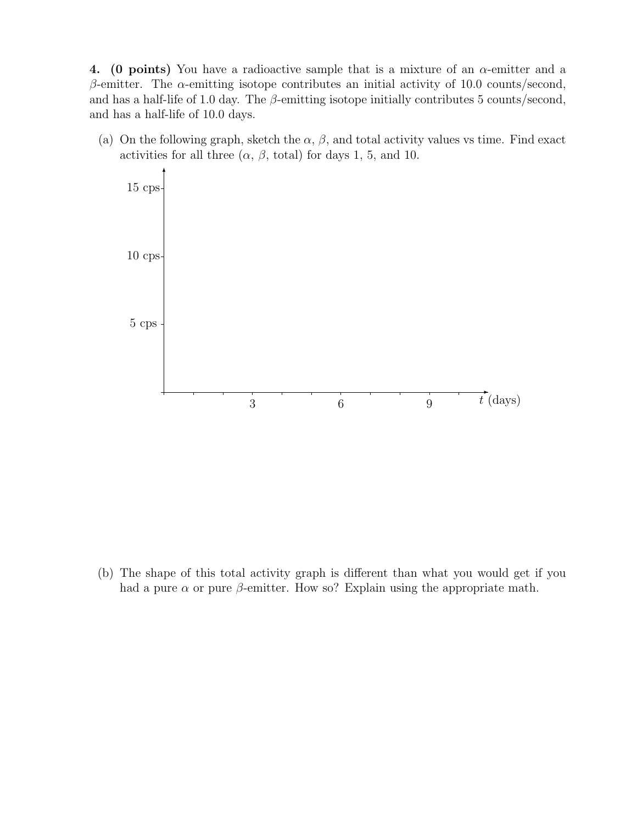4. (0 points) You have a radioactive sample that is a mixture of an  $\alpha$ -emitter and a β-emitter. The α-emitting isotope contributes an initial activity of 10.0 counts/second, and has a half-life of 1.0 day. The  $\beta$ -emitting isotope initially contributes 5 counts/second, and has a half-life of 10.0 days.

(a) On the following graph, sketch the  $\alpha$ ,  $\beta$ , and total activity values vs time. Find exact activities for all three  $(\alpha, \beta, \text{total})$  for days 1, 5, and 10.



(b) The shape of this total activity graph is different than what you would get if you had a pure  $\alpha$  or pure  $\beta$ -emitter. How so? Explain using the appropriate math.